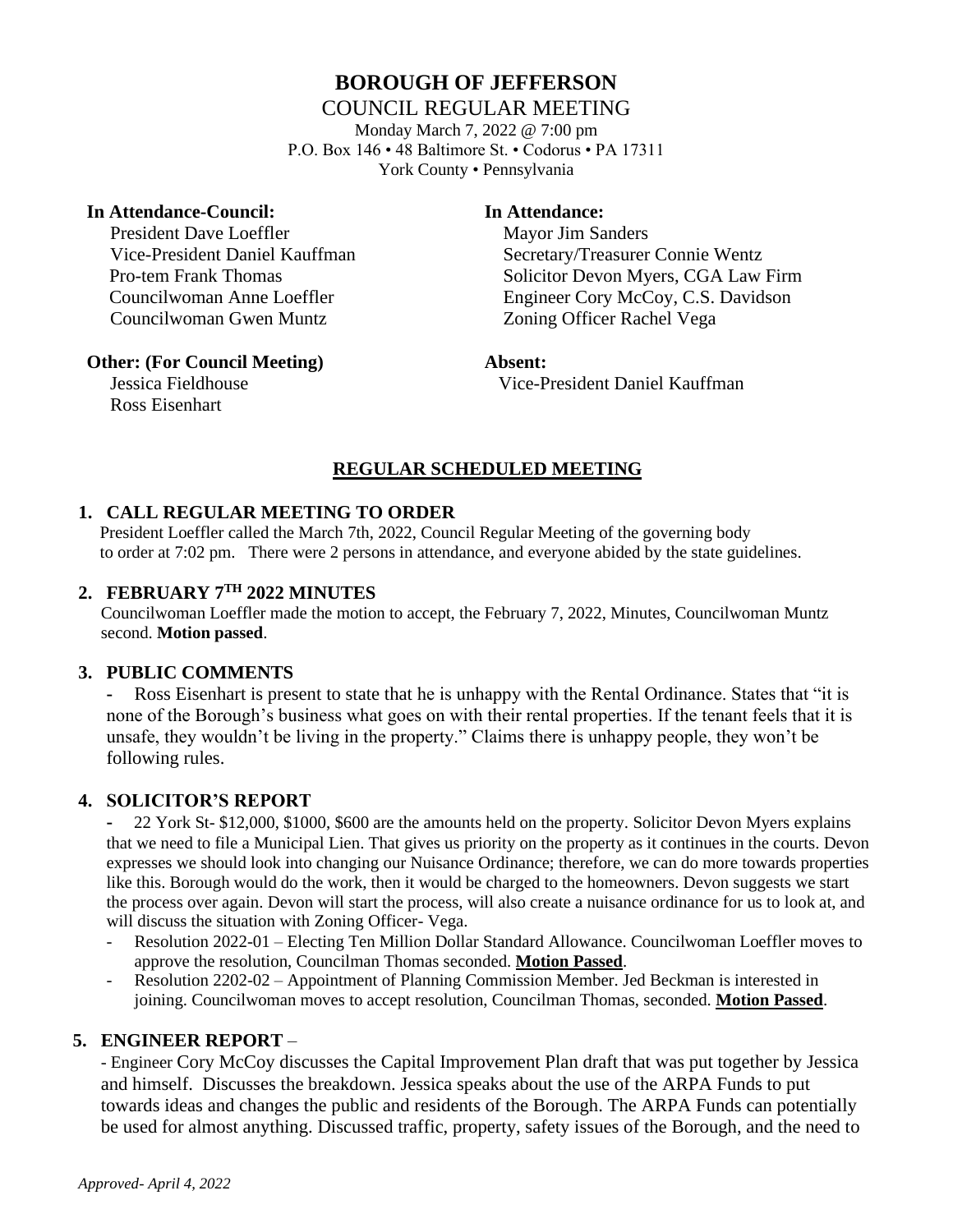# **BOROUGH OF JEFFERSON**

# COUNCIL REGULAR MEETING

Monday March 7, 2022 @ 7:00 pm P.O. Box 146 • 48 Baltimore St. • Codorus • PA 17311 York County • Pennsylvania

#### **In Attendance-Council: In Attendance:**

President Dave Loeffler Mayor Jim Sanders Councilwoman Gwen Muntz Zoning Officer Rachel Vega

 Vice-President Daniel Kauffman Secretary/Treasurer Connie Wentz Pro-tem Frank Thomas Solicitor Devon Myers, CGA Law Firm Councilwoman Anne Loeffler Engineer Cory McCoy, C.S. Davidson

#### **Other: (For Council Meeting) Absent:**

Ross Eisenhart

Jessica Fieldhouse Vice-President Daniel Kauffman

# **REGULAR SCHEDULED MEETING**

#### **1. CALL REGULAR MEETING TO ORDER**

 President Loeffler called the March 7th, 2022, Council Regular Meeting of the governing body to order at 7:02 pm. There were 2 persons in attendance, and everyone abided by the state guidelines.

#### **2. FEBRUARY 7TH 2022 MINUTES**

Councilwoman Loeffler made the motion to accept, the February 7, 2022, Minutes, Councilwoman Muntz second. **Motion passed**.

### **3. PUBLIC COMMENTS**

**-** Ross Eisenhart is present to state that he is unhappy with the Rental Ordinance. States that "it is none of the Borough's business what goes on with their rental properties. If the tenant feels that it is unsafe, they wouldn't be living in the property." Claims there is unhappy people, they won't be following rules.

### **4. SOLICITOR'S REPORT**

**-** 22 York St- \$12,000, \$1000, \$600 are the amounts held on the property. Solicitor Devon Myers explains that we need to file a Municipal Lien. That gives us priority on the property as it continues in the courts. Devon expresses we should look into changing our Nuisance Ordinance; therefore, we can do more towards properties like this. Borough would do the work, then it would be charged to the homeowners. Devon suggests we start the process over again. Devon will start the process, will also create a nuisance ordinance for us to look at, and will discuss the situation with Zoning Officer- Vega.

- Resolution 2022-01 Electing Ten Million Dollar Standard Allowance. Councilwoman Loeffler moves to approve the resolution, Councilman Thomas seconded. **Motion Passed**.
- Resolution 2202-02 Appointment of Planning Commission Member. Jed Beckman is interested in joining. Councilwoman moves to accept resolution, Councilman Thomas, seconded. **Motion Passed**.

### **5. ENGINEER REPORT** –

- Engineer Cory McCoy discusses the Capital Improvement Plan draft that was put together by Jessica and himself. Discusses the breakdown. Jessica speaks about the use of the ARPA Funds to put towards ideas and changes the public and residents of the Borough. The ARPA Funds can potentially be used for almost anything. Discussed traffic, property, safety issues of the Borough, and the need to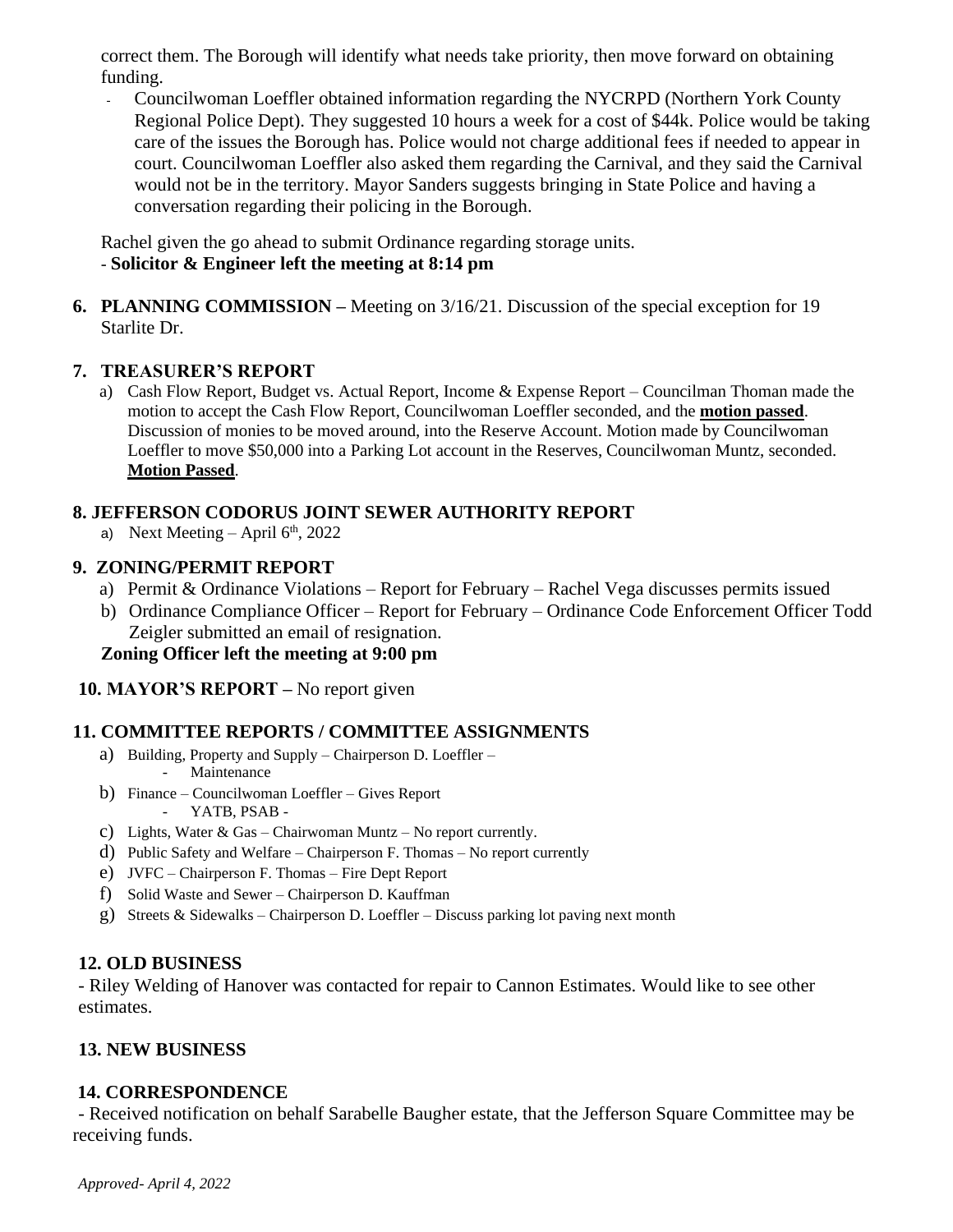correct them. The Borough will identify what needs take priority, then move forward on obtaining funding.

- Councilwoman Loeffler obtained information regarding the NYCRPD (Northern York County Regional Police Dept). They suggested 10 hours a week for a cost of \$44k. Police would be taking care of the issues the Borough has. Police would not charge additional fees if needed to appear in court. Councilwoman Loeffler also asked them regarding the Carnival, and they said the Carnival would not be in the territory. Mayor Sanders suggests bringing in State Police and having a conversation regarding their policing in the Borough.

Rachel given the go ahead to submit Ordinance regarding storage units. - **Solicitor & Engineer left the meeting at 8:14 pm**

**6. PLANNING COMMISSION –** Meeting on 3/16/21. Discussion of the special exception for 19 Starlite Dr.

### **7. TREASURER'S REPORT**

a) Cash Flow Report, Budget vs. Actual Report, Income & Expense Report – Councilman Thoman made the motion to accept the Cash Flow Report, Councilwoman Loeffler seconded, and the **motion passed**. Discussion of monies to be moved around, into the Reserve Account. Motion made by Councilwoman Loeffler to move \$50,000 into a Parking Lot account in the Reserves, Councilwoman Muntz, seconded. **Motion Passed**.

# **8. JEFFERSON CODORUS JOINT SEWER AUTHORITY REPORT**

a) Next Meeting  $-$  April  $6<sup>th</sup>$ , 2022

# **9. ZONING/PERMIT REPORT**

- a) Permit & Ordinance Violations Report for February Rachel Vega discusses permits issued
- b) Ordinance Compliance Officer Report for February Ordinance Code Enforcement Officer Todd Zeigler submitted an email of resignation.

# **Zoning Officer left the meeting at 9:00 pm**

### **10. MAYOR'S REPORT –** No report given

# **11. COMMITTEE REPORTS / COMMITTEE ASSIGNMENTS**

- a) Building, Property and Supply Chairperson D. Loeffler Maintenance
- b) Finance Councilwoman Loeffler Gives Report - YATB, PSAB -
- c) Lights, Water & Gas Chairwoman Muntz No report currently.
- d) Public Safety and Welfare Chairperson F. Thomas No report currently
- e) JVFC Chairperson F. Thomas Fire Dept Report
- f) Solid Waste and Sewer Chairperson D. Kauffman
- g) Streets & Sidewalks Chairperson D. Loeffler Discuss parking lot paving next month

### **12. OLD BUSINESS**

- Riley Welding of Hanover was contacted for repair to Cannon Estimates. Would like to see other estimates.

# **13. NEW BUSINESS**

### **14. CORRESPONDENCE**

- Received notification on behalf Sarabelle Baugher estate, that the Jefferson Square Committee may be receiving funds.